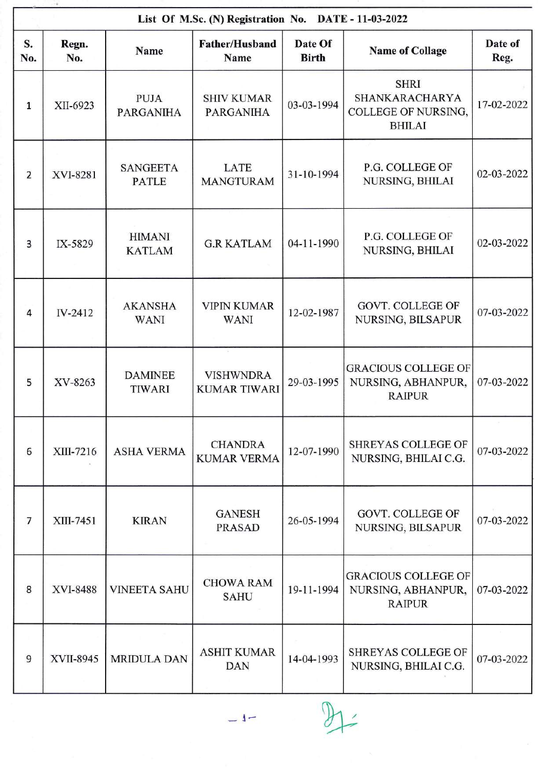|                | List Of M.Sc. (N) Registration No. DATE - 11-03-2022 |                                 |                                         |                         |                                                                              |                 |  |  |
|----------------|------------------------------------------------------|---------------------------------|-----------------------------------------|-------------------------|------------------------------------------------------------------------------|-----------------|--|--|
| S.<br>No.      | Regn.<br>No.                                         | Name                            | Father/Husband<br>Name                  | Date Of<br><b>Birth</b> | <b>Name of Collage</b>                                                       | Date of<br>Reg. |  |  |
| $\mathbf{1}$   | XII-6923                                             | <b>PUJA</b><br><b>PARGANIHA</b> | <b>SHIV KUMAR</b><br><b>PARGANIHA</b>   | 03-03-1994              | <b>SHRI</b><br>SHANKARACHARYA<br><b>COLLEGE OF NURSING,</b><br><b>BHILAI</b> | 17-02-2022      |  |  |
| $\overline{2}$ | XVI-8281                                             | <b>SANGEETA</b><br><b>PATLE</b> | LATE<br><b>MANGTURAM</b>                | 31-10-1994              | P.G. COLLEGE OF<br>NURSING, BHILAI                                           | 02-03-2022      |  |  |
| 3              | IX-5829                                              | <b>HIMANI</b><br><b>KATLAM</b>  | <b>G.R KATLAM</b>                       | 04-11-1990              | P.G. COLLEGE OF<br>NURSING, BHILAI                                           | 02-03-2022      |  |  |
| 4              | IV-2412                                              | <b>AKANSHA</b><br><b>WANI</b>   | <b>VIPIN KUMAR</b><br><b>WANI</b>       | 12-02-1987              | <b>GOVT. COLLEGE OF</b><br>NURSING, BILSAPUR                                 | 07-03-2022      |  |  |
| 5              | XV-8263                                              | <b>DAMINEE</b><br>TIWARI        | <b>VISHWNDRA</b><br><b>KUMAR TIWARI</b> | 29-03-1995              | <b>GRACIOUS COLLEGE OF</b><br>NURSING, ABHANPUR,<br><b>RAIPUR</b>            | 07-03-2022      |  |  |
| 6              | XIII-7216                                            | <b>ASHA VERMA</b>               | <b>CHANDRA</b><br><b>KUMAR VERMA</b>    | 12-07-1990              | SHREYAS COLLEGE OF<br>NURSING, BHILAI C.G.                                   | 07-03-2022      |  |  |
| 7              | XIII-7451                                            | <b>KIRAN</b>                    | <b>GANESH</b><br><b>PRASAD</b>          | 26-05-1994              | GOVT. COLLEGE OF<br>NURSING, BILSAPUR                                        | 07-03-2022      |  |  |
| 8              | XVI-8488                                             | <b>VINEETA SAHU</b>             | <b>CHOWA RAM</b><br><b>SAHU</b>         | 19-11-1994              | <b>GRACIOUS COLLEGE OF</b><br>NURSING, ABHANPUR,<br><b>RAIPUR</b>            | 07-03-2022      |  |  |
| 9              | <b>XVII-8945</b>                                     | <b>MRIDULA DAN</b>              | <b>ASHIT KUMAR</b><br><b>DAN</b>        | 14-04-1993              | <b>SHREYAS COLLEGE OF</b><br>NURSING, BHILAI C.G.                            | 07-03-2022      |  |  |

 $-1 - 91 -$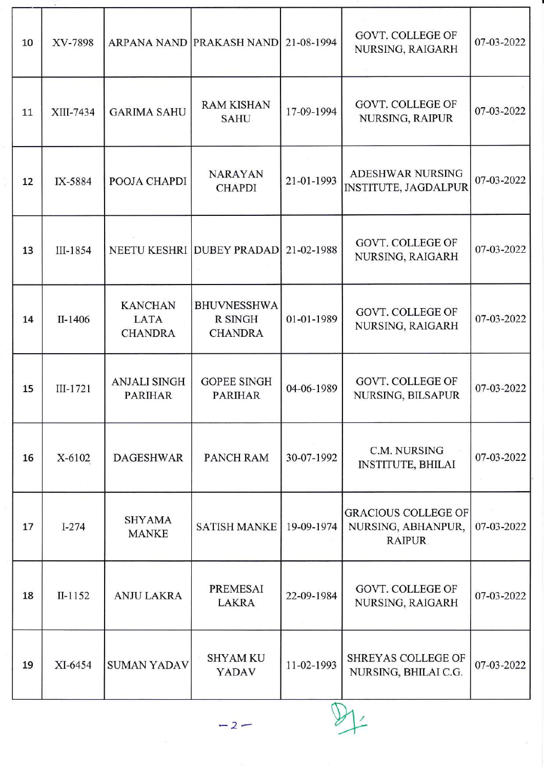| 10 | XV-7898   |                                                 | ARPANA NAND PRAKASH NAND                               | 21-08-1994 | GOVT. COLLEGE OF<br>NURSING, RAIGARH                              | 07-03-2022 |
|----|-----------|-------------------------------------------------|--------------------------------------------------------|------------|-------------------------------------------------------------------|------------|
| 11 | XIII-7434 | <b>GARIMA SAHU</b>                              | <b>RAM KISHAN</b><br><b>SAHU</b>                       | 17-09-1994 | <b>GOVT. COLLEGE OF</b><br><b>NURSING, RAIPUR</b>                 | 07-03-2022 |
| 12 | IX-5884   | POOJA CHAPDI                                    | <b>NARAYAN</b><br><b>CHAPDI</b>                        | 21-01-1993 | <b>ADESHWAR NURSING</b><br><b>INSTITUTE, JAGDALPUR</b>            | 07-03-2022 |
| 13 | III-1854  |                                                 | NEETU KESHRI DUBEY PRADAD                              | 21-02-1988 | GOVT. COLLEGE OF<br>NURSING, RAIGARH                              | 07-03-2022 |
| 14 | II-1406   | <b>KANCHAN</b><br><b>LATA</b><br><b>CHANDRA</b> | <b>BHUVNESSHWA</b><br><b>R SINGH</b><br><b>CHANDRA</b> | 01-01-1989 | <b>GOVT. COLLEGE OF</b><br>NURSING, RAIGARH                       | 07-03-2022 |
| 15 | III-1721  | <b>ANJALI SINGH</b><br><b>PARIHAR</b>           | <b>GOPEE SINGH</b><br><b>PARIHAR</b>                   | 04-06-1989 | <b>GOVT. COLLEGE OF</b><br>NURSING, BILSAPUR                      | 07-03-2022 |
| 16 | X-6102    | <b>DAGESHWAR</b>                                | <b>PANCH RAM</b>                                       | 30-07-1992 | C.M. NURSING<br><b>INSTITUTE, BHILAI</b>                          | 07-03-2022 |
| 17 | $I-274$   | <b>SHYAMA</b><br><b>MANKE</b>                   | <b>SATISH MANKE</b>                                    | 19-09-1974 | <b>GRACIOUS COLLEGE OF</b><br>NURSING, ABHANPUR,<br><b>RAIPUR</b> | 07-03-2022 |
| 18 | $II-1152$ | <b>ANJU LAKRA</b>                               | <b>PREMESAI</b><br><b>LAKRA</b>                        | 22-09-1984 | <b>GOVT. COLLEGE OF</b><br>NURSING, RAIGARH                       | 07-03-2022 |
| 19 | XI-6454   | <b>SUMAN YADAV</b>                              | <b>SHYAM KU</b><br><b>YADAV</b>                        | 11-02-1993 | <b>SHREYAS COLLEGE OF</b><br>NURSING, BHILAI C.G.                 | 07-03-2022 |
|    |           |                                                 | $-2-$                                                  |            |                                                                   |            |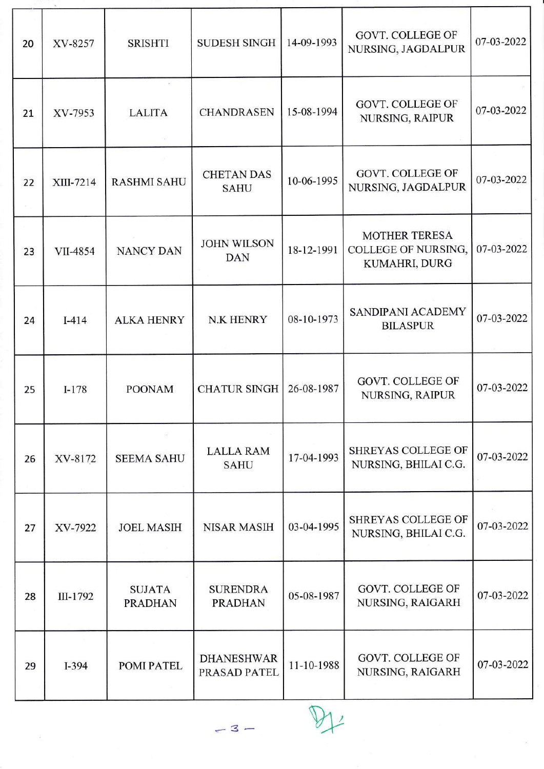| 20 | XV-8257   | <b>SRISHTI</b>                  | <b>SUDESH SINGH</b>               | 14-09-1993 | <b>GOVT. COLLEGE OF</b><br>NURSING, JAGDALPUR                | 07-03-2022 |
|----|-----------|---------------------------------|-----------------------------------|------------|--------------------------------------------------------------|------------|
| 21 | XV-7953   | <b>LALITA</b>                   | <b>CHANDRASEN</b>                 | 15-08-1994 | <b>GOVT. COLLEGE OF</b><br>NURSING, RAIPUR                   | 07-03-2022 |
| 22 | XIII-7214 | <b>RASHMI SAHU</b>              | <b>CHETAN DAS</b><br><b>SAHU</b>  | 10-06-1995 | <b>GOVT. COLLEGE OF</b><br>NURSING, JAGDALPUR                | 07-03-2022 |
| 23 | VII-4854  | <b>NANCY DAN</b>                | <b>JOHN WILSON</b><br><b>DAN</b>  | 18-12-1991 | <b>MOTHER TERESA</b><br>COLLEGE OF NURSING,<br>KUMAHRI, DURG | 07-03-2022 |
| 24 | $I-414$   | <b>ALKA HENRY</b>               | <b>N.K HENRY</b>                  | 08-10-1973 | SANDIPANI ACADEMY<br><b>BILASPUR</b>                         | 07-03-2022 |
| 25 | $I-178$   | <b>POONAM</b>                   | <b>CHATUR SINGH</b>               | 26-08-1987 | GOVT. COLLEGE OF<br>NURSING, RAIPUR                          | 07-03-2022 |
| 26 | XV-8172   | <b>SEEMA SAHU</b>               | <b>LALLA RAM</b><br><b>SAHU</b>   | 17-04-1993 | SHREYAS COLLEGE OF<br>NURSING, BHILAI C.G.                   | 07-03-2022 |
| 27 | XV-7922   | <b>JOEL MASIH</b>               | <b>NISAR MASIH</b>                | 03-04-1995 | SHREYAS COLLEGE OF<br>NURSING, BHILAI C.G.                   | 07-03-2022 |
| 28 | III-1792  | <b>SUJATA</b><br><b>PRADHAN</b> | <b>SURENDRA</b><br><b>PRADHAN</b> | 05-08-1987 | <b>GOVT. COLLEGE OF</b><br>NURSING, RAIGARH                  | 07-03-2022 |
| 29 | $I-394$   | <b>POMI PATEL</b>               | <b>DHANESHWAR</b><br>PRASAD PATEL | 11-10-1988 | GOVT. COLLEGE OF<br>NURSING, RAIGARH                         | 07-03-2022 |

 $-3-$ 

 $\mathbb{P}$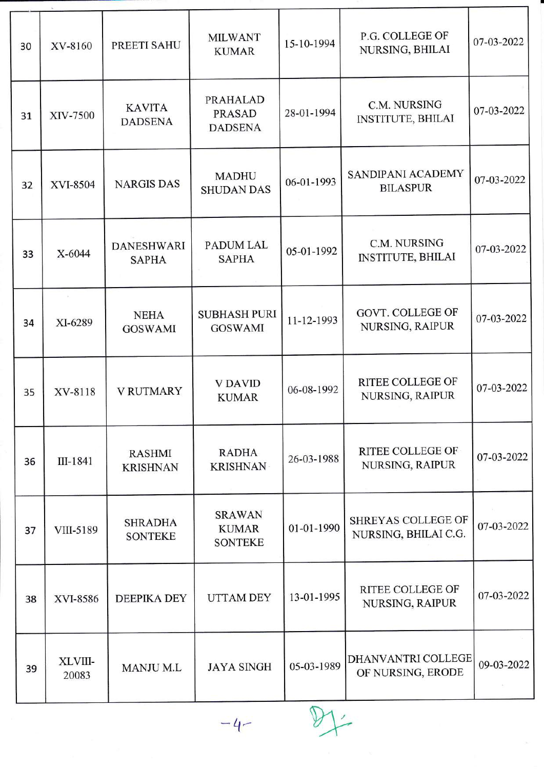| 30 | XV-8160          | PREETI SAHU                       | <b>MILWANT</b><br><b>KUMAR</b>                     | 15-10-1994 | P.G. COLLEGE OF<br>NURSING, BHILAI         | 07-03-2022 |
|----|------------------|-----------------------------------|----------------------------------------------------|------------|--------------------------------------------|------------|
| 31 | XIV-7500         | <b>KAVITA</b><br><b>DADSENA</b>   | <b>PRAHALAD</b><br><b>PRASAD</b><br><b>DADSENA</b> | 28-01-1994 | C.M. NURSING<br><b>INSTITUTE, BHILAI</b>   | 07-03-2022 |
| 32 | <b>XVI-8504</b>  | <b>NARGIS DAS</b>                 | <b>MADHU</b><br><b>SHUDAN DAS</b>                  | 06-01-1993 | SANDIPANI ACADEMY<br><b>BILASPUR</b>       | 07-03-2022 |
| 33 | X-6044           | <b>DANESHWARI</b><br><b>SAPHA</b> | <b>PADUM LAL</b><br><b>SAPHA</b>                   | 05-01-1992 | C.M. NURSING<br><b>INSTITUTE, BHILAI</b>   | 07-03-2022 |
| 34 | XI-6289          | <b>NEHA</b><br><b>GOSWAMI</b>     | <b>SUBHASH PURI</b><br><b>GOSWAMI</b>              | 11-12-1993 | <b>GOVT. COLLEGE OF</b><br>NURSING, RAIPUR | 07-03-2022 |
| 35 | XV-8118          | <b>V RUTMARY</b>                  | <b>V DAVID</b><br><b>KUMAR</b>                     | 06-08-1992 | RITEE COLLEGE OF<br>NURSING, RAIPUR        | 07-03-2022 |
| 36 | III-1841         | <b>RASHMI</b><br><b>KRISHNAN</b>  | <b>RADHA</b><br><b>KRISHNAN</b>                    | 26-03-1988 | <b>RITEE COLLEGE OF</b><br>NURSING, RAIPUR | 07-03-2022 |
| 37 | VIII-5189        | <b>SHRADHA</b><br><b>SONTEKE</b>  | <b>SRAWAN</b><br><b>KUMAR</b><br><b>SONTEKE</b>    | 01-01-1990 | SHREYAS COLLEGE OF<br>NURSING, BHILAI C.G. | 07-03-2022 |
| 38 | XVI-8586         | <b>DEEPIKA DEY</b>                | <b>UTTAM DEY</b>                                   | 13-01-1995 | <b>RITEE COLLEGE OF</b><br>NURSING, RAIPUR | 07-03-2022 |
| 39 | XLVIII-<br>20083 | <b>MANJU M.L</b>                  | <b>JAYA SINGH</b>                                  | 05-03-1989 | DHANVANTRI COLLEGE<br>OF NURSING, ERODE    | 09-03-2022 |
|    |                  |                                   |                                                    |            |                                            |            |

T

 $-4$  DJ: